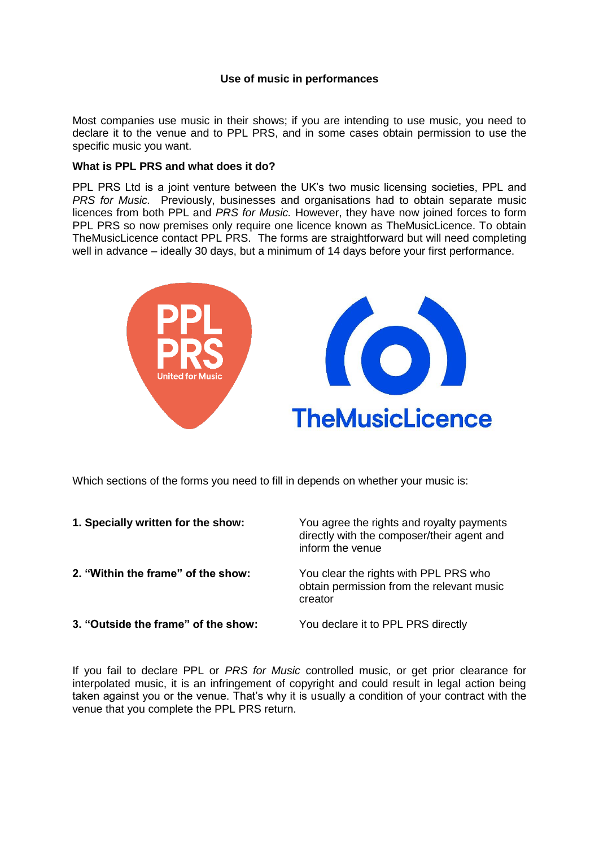## **Use of music in performances**

Most companies use music in their shows; if you are intending to use music, you need to declare it to the venue and to PPL PRS, and in some cases obtain permission to use the specific music you want.

#### **What is PPL PRS and what does it do?**

PPL PRS Ltd is a joint venture between the UK's two music licensing societies, PPL and *PRS for Music.* Previously, businesses and organisations had to obtain separate music licences from both PPL and *PRS for Music.* However, they have now joined forces to form PPL PRS so now premises only require one licence known as TheMusicLicence. To obtain TheMusicLicence contact PPL PRS. The forms are straightforward but will need completing well in advance – ideally 30 days, but a minimum of 14 days before your first performance.



Which sections of the forms you need to fill in depends on whether your music is:

| 1. Specially written for the show:  | You agree the rights and royalty payments<br>directly with the composer/their agent and<br>inform the venue |
|-------------------------------------|-------------------------------------------------------------------------------------------------------------|
| 2. "Within the frame" of the show:  | You clear the rights with PPL PRS who<br>obtain permission from the relevant music<br>creator               |
| 3. "Outside the frame" of the show: | You declare it to PPL PRS directly                                                                          |

If you fail to declare PPL or *PRS for Music* controlled music, or get prior clearance for interpolated music, it is an infringement of copyright and could result in legal action being taken against you or the venue. That's why it is usually a condition of your contract with the venue that you complete the PPL PRS return.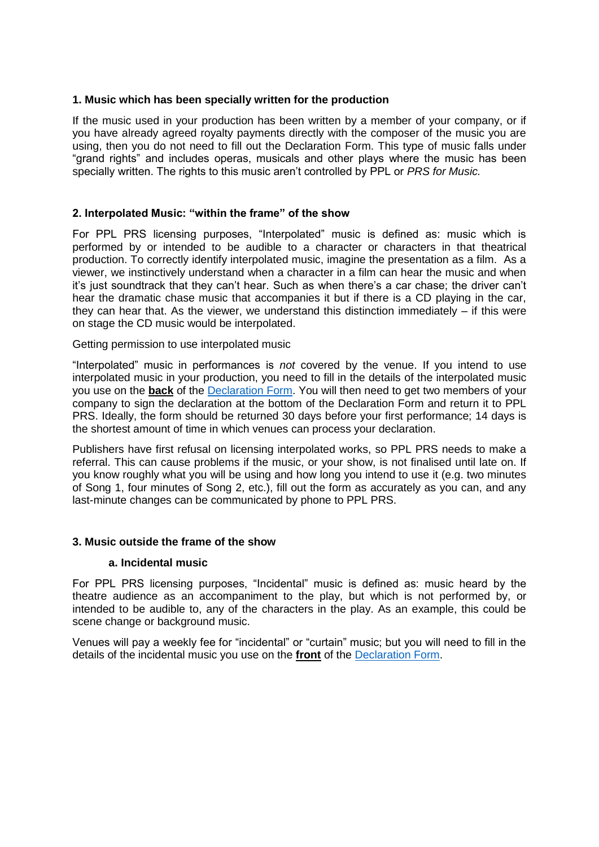# **1. Music which has been specially written for the production**

If the music used in your production has been written by a member of your company, or if you have already agreed royalty payments directly with the composer of the music you are using, then you do not need to fill out the Declaration Form. This type of music falls under "grand rights" and includes operas, musicals and other plays where the music has been specially written. The rights to this music aren't controlled by PPL or *PRS for Music.* 

# **2. Interpolated Music: "within the frame" of the show**

For PPL PRS licensing purposes, "Interpolated" music is defined as: music which is performed by or intended to be audible to a character or characters in that theatrical production. To correctly identify interpolated music, imagine the presentation as a film. As a viewer, we instinctively understand when a character in a film can hear the music and when it's just soundtrack that they can't hear. Such as when there's a car chase; the driver can't hear the dramatic chase music that accompanies it but if there is a CD playing in the car, they can hear that. As the viewer, we understand this distinction immediately  $-$  if this were on stage the CD music would be interpolated.

## Getting permission to use interpolated music

"Interpolated" music in performances is *not* covered by the venue. If you intend to use interpolated music in your production, you need to fill in the details of the interpolated music you use on the **back** of the [Declaration Form.](http://housetheatre.org.uk/resources/ppl-prs-application-interpolated-music/) You will then need to get two members of your company to sign the declaration at the bottom of the Declaration Form and return it to PPL PRS. Ideally, the form should be returned 30 days before your first performance; 14 days is the shortest amount of time in which venues can process your declaration.

Publishers have first refusal on licensing interpolated works, so PPL PRS needs to make a referral. This can cause problems if the music, or your show, is not finalised until late on. If you know roughly what you will be using and how long you intend to use it (e.g. two minutes of Song 1, four minutes of Song 2, etc.), fill out the form as accurately as you can, and any last-minute changes can be communicated by phone to PPL PRS.

## **3. Music outside the frame of the show**

## **a. Incidental music**

For PPL PRS licensing purposes, "Incidental" music is defined as: music heard by the theatre audience as an accompaniment to the play, but which is not performed by, or intended to be audible to, any of the characters in the play. As an example, this could be scene change or background music.

Venues will pay a weekly fee for "incidental" or "curtain" music; but you will need to fill in the details of the incidental music you use on the **front** of the [Declaration Form.](http://housetheatre.org.uk/resources/ppl-prs-setlist-incidental-music/)